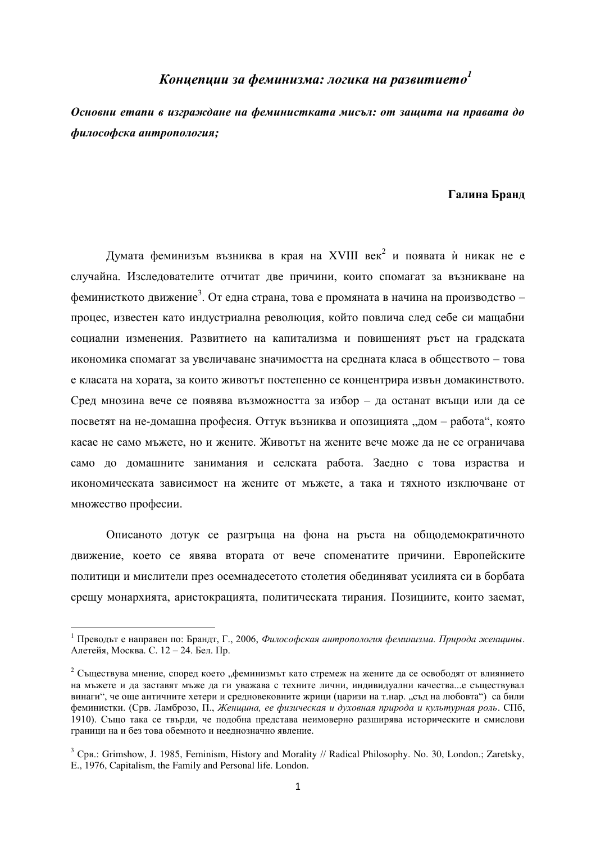## $\bm{K}$ онцепции за феминизма: логика на развитието<sup>1</sup>

Основни етапи в изграждане на феминистката мисъл: от защита на правата до  $\boldsymbol{\phi}$ илософска антропология;

## Галина Бранд

Думата феминизъм възниква в края на XVIII век<sup>2</sup> и появата ѝ никак не е случайна. Изследователите отчитат две причини, които спомагат за възникване на феминисткото движение<sup>3</sup>. От една страна, това е промяната в начина на производство – процес, известен като индустриална революция, който повлича след себе си мащабни социални изменения. Развитието на капитализма и повишеният ръст на градската икономика спомагат за увеличаване значимостта на средната класа в обществото – това е класата на хората, за които животът постепенно се концентрира извън домакинството. Сред мнозина вече се появява възможността за избор – да останат вкъщи или да се посветят на не-домашна професия. Оттук възниква и опозицията "дом – работа", която касае не само мъжете, но и жените. Животът на жените вече може да не се ограничава само до домашните занимания и селската работа. Заедно с това израства и икономическата зависимост на жените от мъжете, а така и тяхното изключване от множество професии.

Описаното дотук се разгръща на фона на ръста на общодемократичното движение, което се явява втората от вече споменатите причини. Европейските политици и мислители през осемнадесетото столетия обединяват усилията си в борбата срещу монархията, аристокрацията, политическата тирания. Позициите, които заемат,

<sup>&</sup>lt;sup>1</sup> Преводът е направен по: Брандт, Г., 2006, Философская антропология феминизма. Природа женщины. Алетейя, Москва. С. 12 – 24. Бел. Пр.

<sup>&</sup>lt;sup>2</sup> Съществува мнение, според което "феминизмът като стремеж на жените да се освободят от влиянието на мъжете и ла заставят мъже ла ги уважава с техните лични, инливилуални качества...е съществувал винаги", че оше античните хетери и средновековните жрици (царизи на т.нар. "съд на любовта") са били феминистки. (Срв. Ламброзо, П., Женщина, ее физическая и духовная природа и культурная роль. СПб, 1910). Също така се твърди, че подобна представа неимоверно разширява историческите и смислови граници на и без това обемното и нееднозначно явление.

 $3$  Cps.: Grimshow, J. 1985, Feminism, History and Morality // Radical Philosophy. No. 30, London.; Zaretsky, E., 1976, Capitalism, the Family and Personal life. London.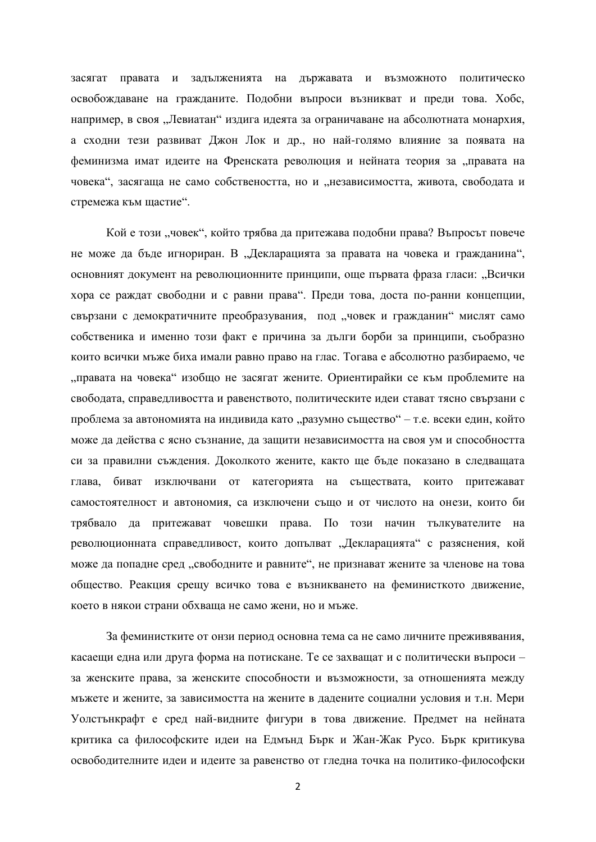засягат правата и задълженията на държавата и възможното политическо освобождаване на гражданите. Подобни въпроси възникват и преди това. Хобс, например, в своя "Левиатан" издига идеята за ограничаване на абсолютната монархия, а сходни тези развиват Джон Лок и др., но най-голямо влияние за появата на феминизма имат идеите на Френската революция и нейната теория за "правата на човека", засягаща не само собствеността, но и "независимостта, живота, свободата и стремежа към щастие".

Койе този "човек", който трябва да притежава подобни права? Въпросът повече не може да бъде игнориран. В "Декларацията за правата на човека и гражданина", основният документ на революционните принципи, още първата фраза гласи: "Всички хора се раждат свободни и с равни права". Преди това, доста по-ранни концепции, свързани с демократичните преобразувания, под "човек и гражданин" мислят само собственика и именно този факт е причина за дълги борби за принципи, съобразно които всички мъже биха имали равно право на глас. Тогава е абсолютно разбираемо, че дправата на човека" изобщо не засягат жените. Ориентирайки се към проблемите на свободата, справедливостта и равенството, политическите идеи стават тясно свързани с проблема за автономията на индивида като "разумно същество" – т.е. всеки един, който може да действа с ясно съзнание, да защити независимостта на своя ум и способността си за правилни съждения. Доколкото жените, както ще бъде показано в следващата глава, биват изключвани от категорията на съществата, които притежават самостоятелност и автономия, са изключени също и от числото на онези, които би трябвало да притежават човешки права. По този начин тылкувателите на революционната справедливост, които допълват "Декларацията" с разяснения, кой може да попадне сред "свободните и равните", не признават жените за членове на това общество. Реакция срещу всичко това е възникването на феминисткото движение, което в някои страни обхваща не само жени, но и мъже.

За феминистките от онзи период основна тема са не само личните преживявания, касаещи една или друга форма на потискане. Те се захващат и с политически въпроси – за женските права, за женските способности и възможности, за отношенията между мъжете и жените, за зависимостта на жените в дадените социални условия и т.н. Мери Уолстьнкрафт е сред най-видните фигури в това движение. Предмет на нейната критика са философските идеи на Едмънд Бърк и Жан-Жак Русо. Бърк критикува освоболителните илеи и илеите за равенство от глелна точка на политико-философски

2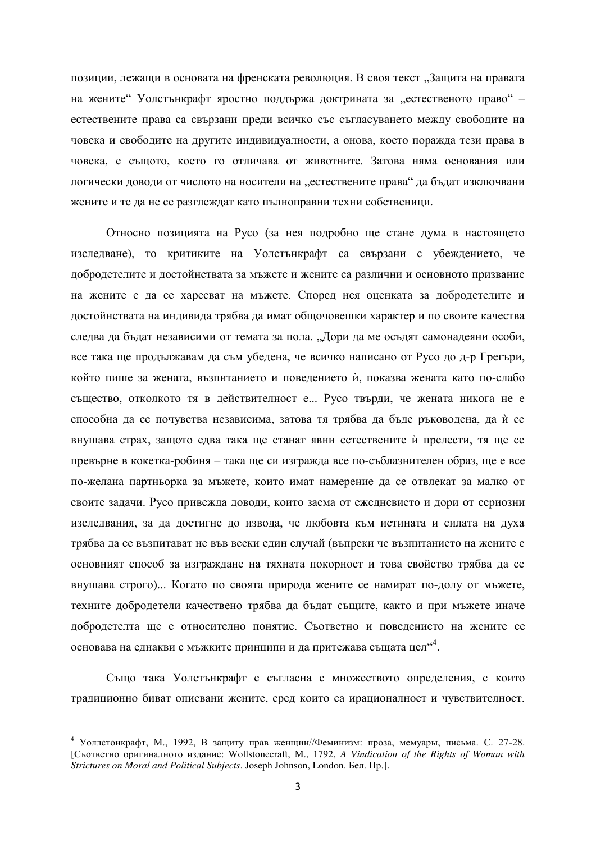позиции, лежащи в основата на френската революция. В своя текст "Защита на правата на жените" Уолстънкрафт яростно поддържа доктрината за "естественото право" – естествените права са свързани преди всичко със съгласуването между свободите на човека и свободите на другите индивидуалности, а онова, което поражда тези права в човека, е същото, което го отличава от животните. Затова няма основания или логически доводи от числото на носители на "естествените права" да бъдат изключвани жените и те да не се разглеждат като пълноправни техни собственици.

Относно позицията на Русо (за нея подробно ще стане дума в настоящето изследване), то критиките на Уолстънкрафт са свързани с убеждението, че добродетелите и достойнствата за мъжете и жените са различни и основното призвание на жените е да се харесват на мъжете. Според нея оценката за добродетелите и достойнствата на индивида трябва да имат общочовешки характер и по своите качества следва да бъдат независими от темата за пола. "Дори да ме осъдят самонадеяни особи, все така ще продължавам да съм убедена, че всичко написано от Русо до д-р Грегъри, който пише за жената, възпитанието и поведението ѝ, показва жената като по-слабо същество, отколкото тя в действителност е... Русо твърди, че жената никога не е способна да се почувства независима, затова тя трябва да бъде ръководена, да ѝ се внушава страх, защото едва така ще станат явни естествените ѝ прелести, тя ще се превърне в кокетка-робиня – така ще си изгражда все по-съблазнителен образ, ще е все по-желана партньорка за мъжете, които имат намерение да се отвлекат за малко от своите задачи. Русо привежда доводи, които заема от ежедневието и дори от сериозни изследвания, за да достигне до извода, че любовта към истината и силата на духа трябва да се възпитават не във всеки един случай (въпреки че възпитанието на жените е основният способ за изграждане на тяхната покорност и това свойство трябва да се внушава строго)... Когато по своята природа жените се намират по-долу от мъжете, техните добродетели качествено трябва да бъдат същите, както и при мъжете иначе добродетелта ще е относително понятие. Съответно и поведението на жените се основава на еднакви с мъжките принципи и да притежава същата цел $``^4$ .

Също така Уолстънкрафт е съгласна с множеството определения, с които традиционно биват описвани жените, сред които са ирационалност и чувствителност.

<sup>&</sup>lt;sup>4</sup> Уоллстонкрафт, М., 1992, В защиту прав женщин//Феминизм: проза, мемуары, письма. С. 27-28. [Съответно оригиналното издание: Wollstonecraft, M., 1792, *A Vindication of the Rights of Woman with Strictures on Moral and Political Subjects*. Joseph Johnson, London. *Бел. Пр.].*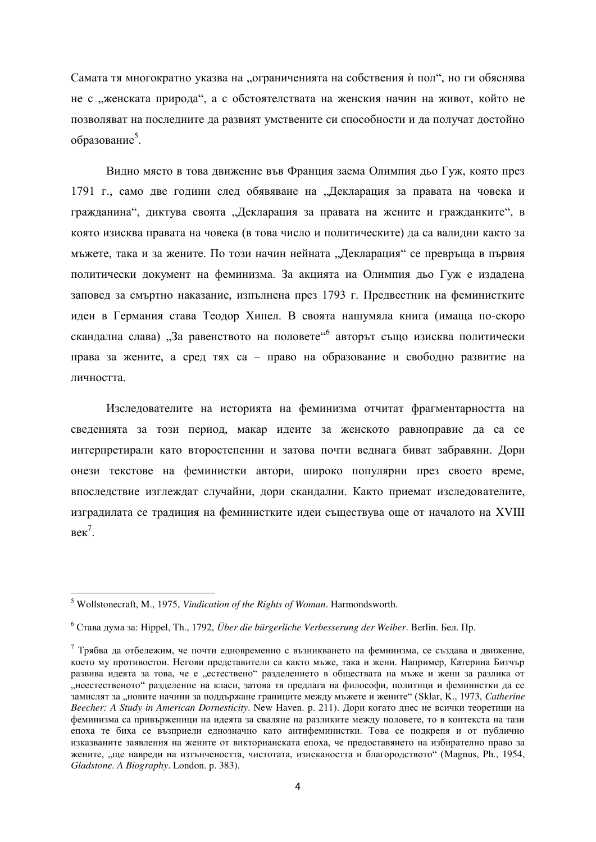Самата тя многократно указва на "ограниченията на собствения ѝ пол", но ги обяснява не с "женската природа", а с обстоятелствата на женския начин на живот, който не позволяват на последните да развият умствените си способности и да получат достойно образование<sup>5</sup>.

Видно място в това движение във Франция заема Олимпия дьо Гуж, която през 1791 г., само две години след обявяване на "Декларация за правата на човека и гражданина", диктува своята "Декларация за правата на жените и гражданките", в която изисква правата на човека (в това число и политическите) да са валидни както за мъжете, така и за жените. По този начин нейната "Декларация" се превръща в първия политически документ на феминизма. За акцията на Олимпия дьо Гуж е издадена заповед за смъртно наказание, изпълнена през 1793 г. Предвестник на феминистките идеи в Германия става Теодор Хипел. В своята нашумяла книга (имаща по-скоро скандална слава) "За равенството на половете"<sup>6</sup> авторът също изисква политически права за жените, а сред тях са – право на образование и свободно развитие на личността.

Изследователите на историята на феминизма отчитат фрагментарността на сведенията за този период, макар идеите за женското равноправие да са се интерпретирали като второстепенни и затова почти веднага биват забравяни. Дори онези текстове на феминистки автори, широко популярни през своето време, впослелствие изглеждат случайни, дори скандални. Както приемат изслелователите, изградилата се традиция на феминистките идеи съществува още от началото на XVIII  $<sup>7</sup>$ .</sup>

<sup>5</sup> Wollstonecraft, M., 1975, *Vindication of the Rights of Woman*. Harmondsworth.

<sup>&</sup>lt;sup>6</sup> Става дума за: Hippel. Th., 1792, Über die bürgerliche Verbesserung der Weiber. Berlin. Бел. Пр.

 $^7$  Трябва да отбележим, че почти едновременно с възникването на феминизма, се създава и движение, което му противостои. Негови представители са както мъже, така и жени. Например, Катерина Битчър развива идеята за това, че е "естествено" разделението в обществата на мъже и жени за разлика от "неестественото" разделение на класи, затова тя предлага на философи, политици и феминистки да се замислят за "новите начини за поллържане границите межлу мъжете и жените" (Sklar, K., 1973, *Catherine Beecher: A Study in American Dornesticity*. New Haven. p. 211). Дори когато днес не всички теоретици на феминизма са привърженици на идеята за сваляне на разликите между половете, то в контекста на тази епоха те биха се възприели еднозначно като антифеминистки. Това се подкрепя и от публично изказваните заявления на жените от викторианската епоха, че предоставянето на избирателно право за жените, "ще навреди на изтънчеността, чистотата, изискаността и благородството" (Magnus, Ph., 1954, *Gladstone. A Biography*. London. p. 383).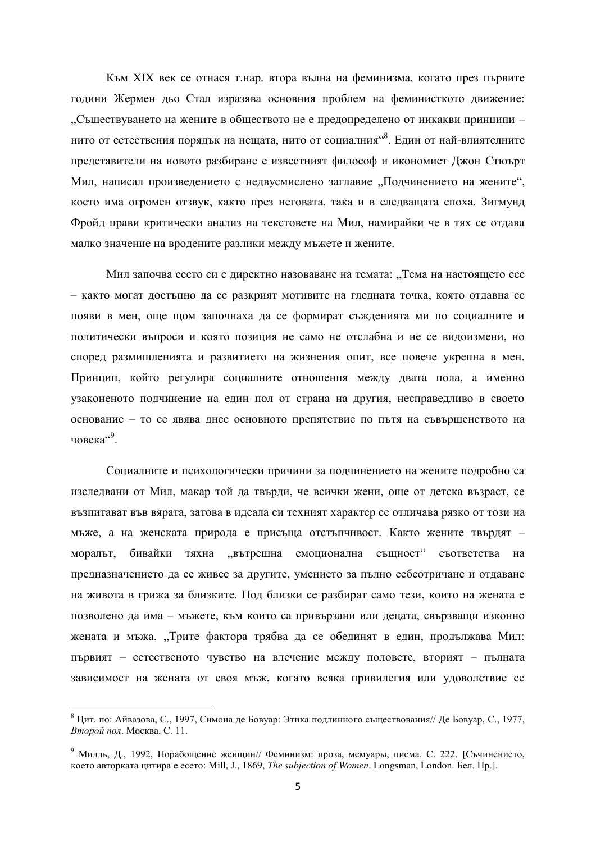Към XIX век се отнася т.нар. втора вълна на феминизма, когато през първите години Жермен дьо Стал изразява основния проблем на феминисткото движение: "Съществуването на жените в обществото не е предопределено от никакви принципи – нито от естествения порядък на нещата, нито от социалния<sup>48</sup>. Един от най-влиятелните представители на новото разбиране е известният философ и икономист Джон Стюърт Мил, написал произведението с недвусмислено заглавие "Подчинението на жените", което има огромен отзвук, както през неговата, така и в следващата епоха. Зигмунд Фройд прави критически анализ на текстовете на Мил, намирайки че в тях се отдава малко значение на вродените разлики между мъжете и жените.

Мил започва есето си с директно назоваване на темата: "Тема на настоящето есе – както могат достъпно да се разкрият мотивите на гледната точка, която отдавна се появи в мен, още щом започнаха да се формират съжденията ми по социалните и политически въпроси и която позиция не само не отслабна и не се видоизмени, но според размишленията и развитието на жизнения опит, все повече укрепна в мен. Принцип, който регулира социалните отношения между двата пола, а именно узаконеното подчинение на един пол от страна на другия, несправедливо в своето основание – то се явява днес основното препятствие по пътя на съвършенството на човека $\mathfrak{a}^{\mathfrak{c} \theta}$ .

Социалните и психологически причини за подчинението на жените подробно са изследвани от Мил, макар той да твърди, че всички жени, още от детска възраст, се възпитават във вярата, затова в идеала си техният характер се отличава рязко от този на мъже, а на женската природа е присъща отстъпчивост. Както жените твърдят – моралът, бивайки тяхна "вътрешна емоционална същност" съответства на предназначението да се живее за другите, умението за пълно себеотричане и отдаване на живота в грижа за близките. Под близки се разбират само тези, които на жената е позволено да има – мъжете, към които са привързани или децата, свързващи изконно жената и мъжа. "Трите фактора трябва да се обединят в един, продължава Мил: първият – естественото чувство на влечение между половете, вторият – пълната зависимост на жената от своя мъж, когато всяка привилегия или удоволствие се

 $8$  Цит. по: Айвазова, С., 1997, Симона де Бовуар: Этика подлинного съществования// Де Бовуар, С., 1977, *Второй пол. Москва. С. 11.* 

<sup>&</sup>lt;sup>9</sup> Милль, Д., 1992, Порабощение женщин// Феминизм: проза, мемуары, писма. С. 222. [Съчинението, което авторката цитира е есето: Mill, J., 1869, *The subjection of Women*. Longsman, London. Бел. Пр.].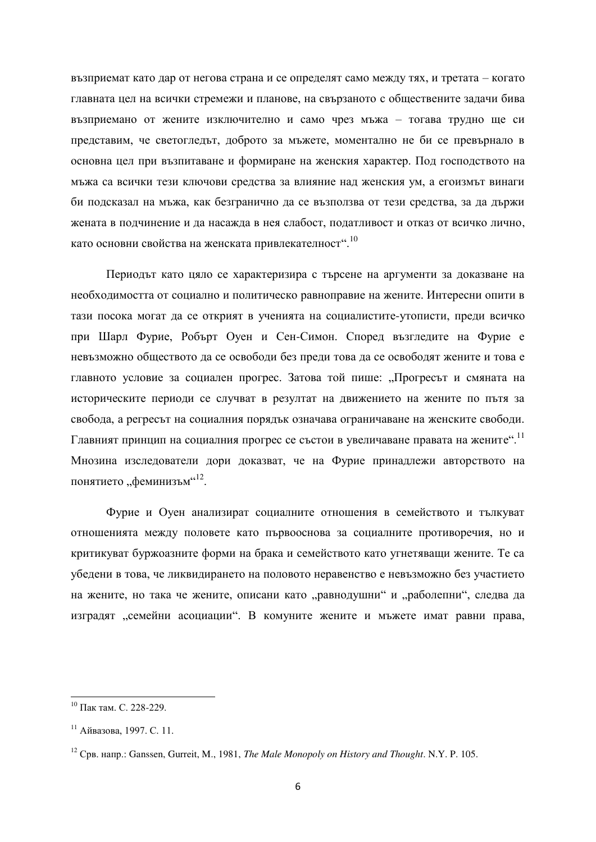възприемат като дар от негова страна и се определят само между тях, и третата – когато главната цел на всички стремежи и планове, на свързаното с обществените задачи бива възприемано от жените изключително и само чрез мъжа – тогава трудно ще си представим, че светогледът, доброто за мъжете, моментално не би се превърнало в основна цел при възпитаване и формиране на женския характер. Под господството на мъжа са всички тези ключови средства за влияние над женския ум, а егоизмът винаги би подсказал на мъжа, как безгранично да се възползва от тези средства, за да държи жената в подчинение и да насажда в нея слабост, податливост и отказ от всичко лично, като основни свойства на женската привлекателност".  $^{10}$ 

Периодът като цяло се характеризира с търсене на аргументи за доказване на необходимостта от социално и политическо равноправие на жените. Интересни опити в тази посока могат да се открият в ученията на социалистите-утописти, преди всичко при Шарл Фурие, Робърт Оуен и Сен-Симон. Според възгледите на Фурие е невъзможно обществото да се освободи без преди това да се освободят жените и това е главното условие за социален прогрес. Затова той пише: "Прогресът и смяната на историческите периоди се случват в резултат на движението на жените по пътя за свобода, а регресът на социалния порядък означава ограничаване на женските свободи. Главният принцип на социалния прогрес се състои в увеличаване правата на жените". <sup>11</sup> Мнозина изследователи дори доказват, че на Фурие принадлежи авторството на понятието "феминизъм"<sup>12</sup>.

Фурие и Оуен анализират социалните отношения в семейството и тылкуват отношенията между половете като първооснова за социалните противоречия, но и критикуват буржоазните форми на брака и семейството като угнетяващи жените. Те са убедени в това, че ликвидирането на половото неравенство е невъзможно без участието на жените, но така че жените, описани като "равнодушни" и "раболепни", следва да изградят "семейни асоциации". В комуните жените и мъжете имат равни права,

 $10$  Пак там. С. 228-229.

 $11$  Айвазова, 1997. С. 11.

<sup>&</sup>lt;sup>12</sup> CpB. Hanp.: Ganssen, Gurreit, M., 1981, *The Male Monopoly on History and Thought*. N.Y. P. 105.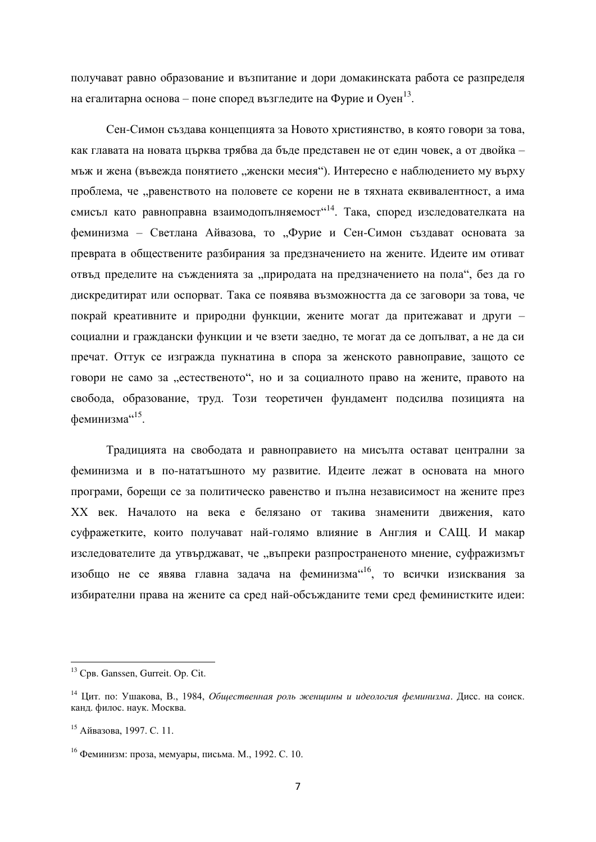получават равно образование и възпитание и дори домакинската работа се разпределя на егалитарна основа – поне според възгледите на Фурие и Оуен $^{13}$ .

Сен-Симон създава концепцията за Новото християнство, в която говори за това, как главата на новата църква трябва да бъде представен не от един човек, а от двойка – мъж и жена (въвежда понятието "женски месия"). Интересно е наблюдението му върху проблема, че "равенството на половете се корени не в тяхната еквивалентност, а има смисъл като равноправна взаимодопълняемост<sup>"14</sup>. Така, според изследователката на феминизма – Светлана Айвазова, то "Фурие и Сен-Симон създават основата за преврата в обществените разбирания за предзначението на жените. Идеите им отиват отвъд пределите на съжденията за "природата на предзначението на пола", без да го дискредитират или оспорват. Така се появява възможността да се заговори за това, че покрай креативните и природни функции, жените могат да притежават и други – социални и граждански функции и че взети заедно, те могат да се допълват, а не да си пречат. Оттук се изгражда пукнатина в спора за женското равноправие, защото се говори не само за "естественото", но и за социалното право на жените, правото на свобода, образование, труд. Този теоретичен фундамент подсилва позицията на феминизма"<sup>15</sup>.

Традицията на свободата и равноправието на мисълта остават централни за феминизма и в по-нататьшното му развитие. Идеите лежат в основата на много програми, бореши се за политическо равенство и пълна независимост на жените през XX век. Началото на века е белязано от такива знаменити движения, като суфражетките, които получават най-голямо влияние в Англия и САЩ. И макар изследователите да утвърджават, че "въпреки разпространеното мнение, суфражизмът изобщо не се явява главна задача на феминизма <sup>слов</sup>, то всички изисквания за избирателни права на жените са сред най-обсъжданите теми сред феминистките идеи:

<sup>&</sup>lt;sup>13</sup> CpB. Ganssen, Gurreit. Op. Cit.

<sup>&</sup>lt;sup>14</sup> Пит. по: Ушакова. В., 1984, *Обшественная роль женщины и идеология феминизма*. Дисс. на соиск. канд. филос. наук. Москва.

<sup>&</sup>lt;sup>15</sup> Айвазова, 1997. С. 11.

 $16$  Феминизм: проза, мемуары, письма. М., 1992. С. 10.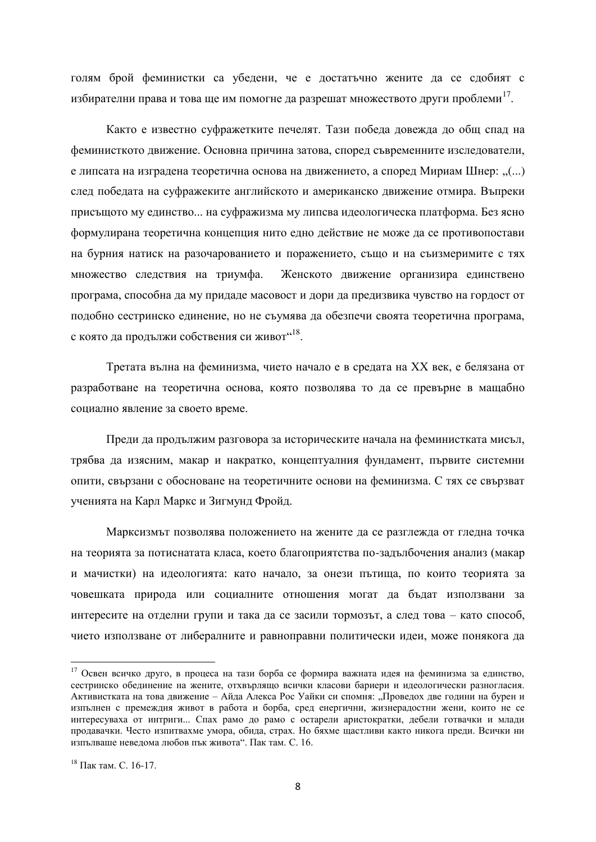голям брой феминистки са убедени, че е достатьчно жените да се сдобият с избирателни права и това ще им помогне да разрешат множеството други проблеми $^{17}\!$ .

Както е известно суфражетките печелят. Тази победа довежда до общ спад на феминисткото движение. Основна причина затова, според съвременните изследователи, е липсата на изградена теоретична основа на движението, а според Мириам Шнер: ..(...) след победата на суфражеките английското и американско движение отмира. Въпреки присъщото му единство... на суфражизма му липсва идеологическа платформа. Без ясно формулирана теоретична концепция нито едно действие не може да се противопостави на бурния натиск на разочарованието и поражението, също и на съизмеримите с тях множество следствия на триумфа. Женското движение организира единствено програма, способна да му придаде масовост и дори да предизвика чувство на гордост от подобно сестринско единение, но не съумява да обезпечи своята теоретична програма, с която да продължи собствения си живот"<sup>18</sup>.

Третата вълна на феминизма, чието начало е в средата на XX век, е белязана от разработване на теоретична основа, която позволява то да се превърне в мащабно социално явление за своето време.

Преди да продължим разговора за историческите начала на феминистката мисъл, трябва да изясним, макар и накратко, концептуалния фундамент, първите системни опити, свързани с обосноване на теоретичните основи на феминизма. С тях се свързват ученията на Карл Маркс и Зигмунд Фройд.

Марксизмът позволява положението на жените да се разглежда от гледна точка на теорията за потиснатата класа, което благоприятства по-залълбочения анализ (макар и мачистки) на идеологията: като начало, за онези пътища, по които теорията за човешката природа или социалните отношения могат да бъдат използвани за интересите на отделни групи и така да се засили тормозът, а след това – като способ, чието използване от либералните и равноправни политически идеи, може понякога да

 $17$  Освен всичко друго, в процеса на тази борба се формира важната идея на феминизма за единство, сестринско обелинение на жените, отхвърлящо всички класови бариери и илеологически разногласия. Активистката на това лвижение – Айла Алекса Рос Уайки си спомня: "Провелох лве голини на бурен и изпълнен с премеждия живот в работа и борба, сред енергични, жизнерадостни жени, които не се интересуваха от интриги... Спах рамо до рамо с остарели аристократки, дебели готвачки и млади продавачки. Често изпитвахме умора, обида, страх. Но бяхме щастливи както никога преди. Всички ни изпълваше неведома любов пък живота". Пак там. С. 16.

 $^{18}$  Пактам С 16-17.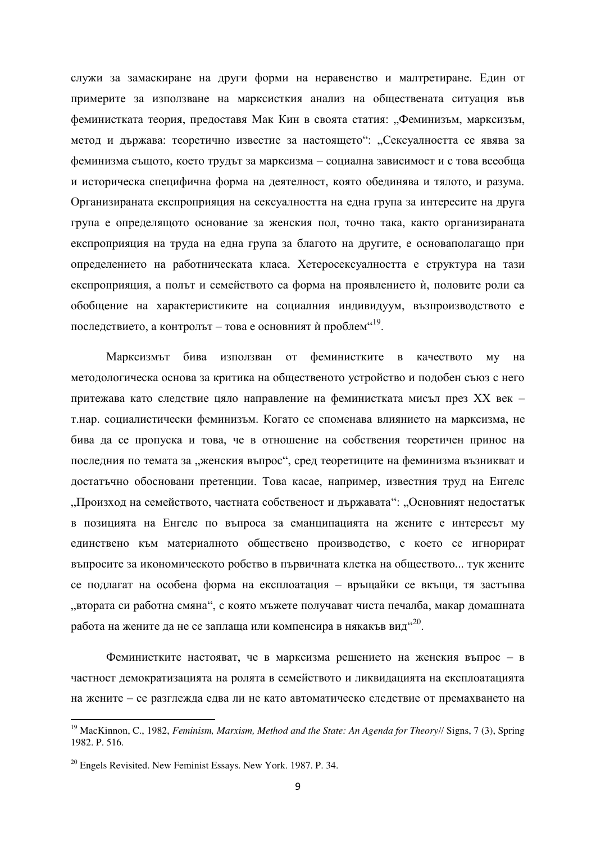служи за замаскиране на други форми на неравенство и малтретиране. Един от примерите за използване на марксисткия анализ на обществената ситуация във феминистката теория, предоставя Мак Кин в своята статия: "Феминизъм, марксизъм, метод и държава: теоретично известие за настоящето": "Сексуалността се явява за феминизма същото, което трудът за марксизма – социална зависимост и с това всеобща и историческа специфична форма на деятелност, която обединява и тялото, и разума. Организираната експроприяция на сексуалността на една група за интересите на друга група е определящото основание за женския пол, точно така, както организираната експроприяция на труда на една група за благото на другите, е основаполагащо при определението на работническата класа. Хетеросексуалността е структура на тази експроприяция, а полът и семейството са форма на проявлението ѝ, половите роли са обобщение на характеристиките на социалния индивидуум, възпроизводството е последствието, а контролът – това е основният ѝ проблем"<sup>19</sup>.

Марксизмът бива използван от феминистките в качеството му на методологическа основа за критика на общественото устройство и подобен съюз с него притежава като следствие цяло направление на феминистката мисъл през XX век – т.нар. социалистически феминизъм. Когато се споменава влиянието на марксизма, не бива да се пропуска и това, че в отношение на собствения теоретичен принос на последния по темата за "женския въпрос", сред теоретиците на феминизма възникват и достатьчно обосновани претенции. Това касае, например, известния труд на Енгелс "Произход на семейството, частната собственост и държавата": "Основният недостатък в позицията на Енгелс по въпроса за еманципацията на жените е интересът му единствено към материалното обществено производство, с което се игнорират въпросите за икономическото робство в първичната клетка на обществото... тук жените се подлагат на особена форма на експлоатация – връщайки се вкъщи, тя застъпва "втората си работна смяна", с която мъжете получават чиста печалба, макар домашната работа на жените да не се заплаща или компенсира в някакъв вид $\mathrm{^{420}.}$ 

Феминистките настояват, че в марксизма решението на женския въпрос – в частност демократизацията на ролята в семейството и ликвидацията на експлоатацията на жените – се разглежда едва ли не като автоматическо следствие от премахването на

<sup>19</sup> MacKinnon, C., 1982, *Feminism, Marxism, Method and the State: An Agenda for Theory*// Signs, 7 (3), Spring 1982. P. 516.

 $^{20}$  Engels Revisited. New Feminist Essays. New York. 1987. P. 34.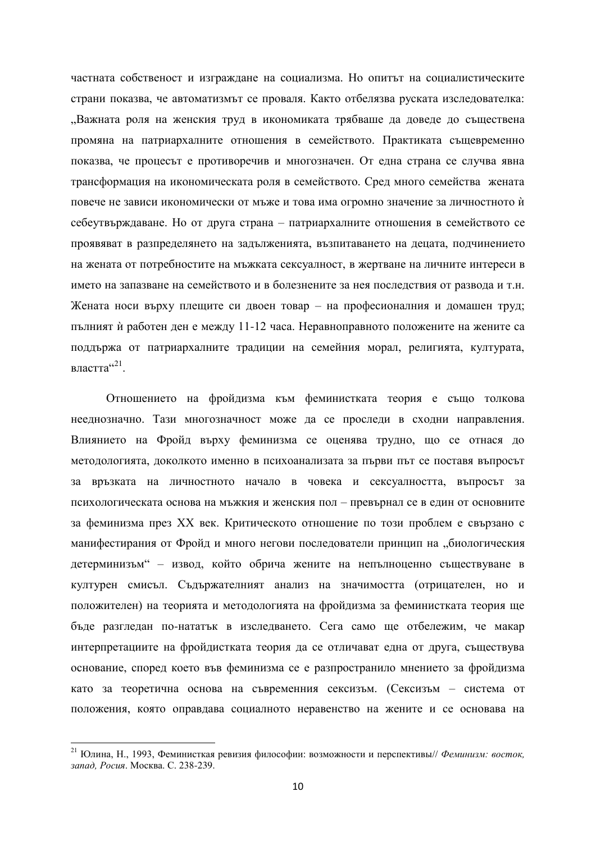частната собственост и изграждане на социализма. Но опитът на социалистическите страни показва, че автоматизмът се проваля. Както отбелязва руската изследователка: "Важната роля на женския труд в икономиката трябваше да доведе до съществена промяна на патриархалните отношения в семейството. Практиката същевременно показва, че процесът е противоречив и многозначен. От една страна се случва явна трансформация на икономическата роля в семейството. Сред много семейства жената повече не зависи икономически от мъже и това има огромно значение за личностното и себеутвърждаване. Но от друга страна – патриархалните отношения в семейството се проявяват в разпределянето на задълженията, възпитаването на децата, подчинението на жената от потребностите на мъжката сексуалност, в жертване на личните интереси в името на запазване на семейството и в болезнените за нея последствия от развода и т.н. Жената носи върху плещите си двоен товар – на професионалния и домашен труд; пълният ѝ работен ден е между 11-12 часа. Неравноправното положените на жените са поддържа от патриархалните традиции на семейния морал, религията, културата, властта $421$ .

Отношението на фройдизма към феминистката теория е също толкова нееднозначно. Тази многозначност може да се проследи в сходни направления. Влиянието на Фройд върху феминизма се оценява трудно, що се отнася до методологията, доколкото именно в психоанализата за първи път се поставя въпросът за връзката на личностното начало в човека и сексуалността, въпросът за психологическата основа на мъжкия и женския пол – превърнал се в един от основните за феминизма през XX век. Критическото отношение по този проблем е свързано с манифестирания от Фройд и много негови последователи принцип на "биологическия детерминизъм" – извод, който обрича жените на непълноценно съществуване в културен смисъл. Съдържателният анализ на значимостта (отрицателен, но и положителен) на теорията и методологията на фройдизма за феминистката теория ще бъде разгледан по-нататък в изследването. Сега само ще отбележим, че макар интерпретациите на фройдистката теория да се отличават една от друга, съществува основание, според което във феминизма се е разпространило мнението за фройдизма като за теоретична основа на съвременния сексизъм. (Сексизъм – система от положения, която оправдава социалното неравенство на жените и се основава на

<sup>&</sup>lt;sup>21</sup> Юлина, Н., 1993, Феминисткая ревизия философии: возможности и перспективы// Феминизм: восток, запад. Росия. Москва. С. 238-239.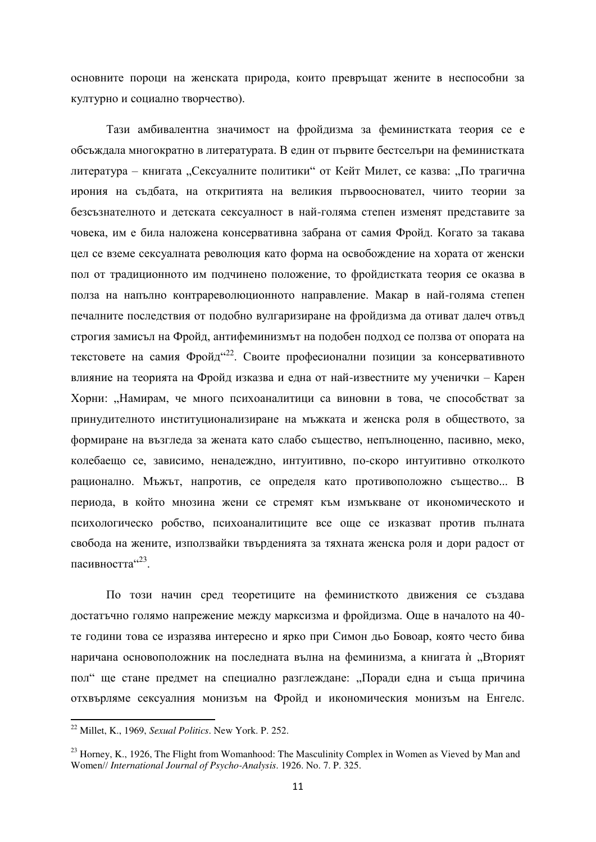основните пороци на женската природа, които превръщат жените в неспособни за културно и социално творчество).

Тази амбивалентна значимост на фройдизма за феминистката теория се е обсъждала многократно в литературата. В един от първите бестселъри на феминистката литература – книгата "Сексуалните политики" от Кейт Милет, се казва: "По трагична ирония на съдбата, на откритията на великия първоосновател, чиито теории за безсъзнателното и детската сексуалност в най-голяма степен изменят представите за човека, им е била наложена консервативна забрана от самия Фройд. Когато за такава цел се вземе сексуалната революция като форма на освобождение на хората от женски пол от традиционното им подчинено положение, то фройдистката теория се оказва в полза на напълно контрареволюционното направление. Макар в най-голяма степен печалните последствия от подобно вулгаризиране на фройдизма да отиват далеч отвъд строгия замисъл на Фройд, антифеминизмът на подобен подход се ползва от опората на текстовете на самия Фройд<sup>122</sup>. Своите професионални позиции за консервативното влияние на теорията на Фройд изказва и една от най-известните му ученички – Карен Хорни: "Намирам, че много психоаналитици са виновни в това, че способстват за принудителното институционализиране на мъжката и женска роля в обществото, за формиране на възгледа за жената като слабо същество, непълноценно, пасивно, меко, колебаещо се, зависимо, ненадеждно, интуитивно, по-скоро интуитивно отколкото рационално. Мъжът, напротив, се определя като противоположно същество... В периода, в който мнозина жени се стремят към измъкване от икономическото и психологическо робство, психоаналитиците все още се изказват против пълната свобода на жените, използвайки твърденията за тяхната женска роля и дори радост от пасивността $423$ .

По този начин сред теоретиците на феминисткото движения се създава достатьчно голямо напрежение между марксизма и фройдизма. Още в началото на 40те години това се изразява интересно и ярко при Симон дьо Бовоар, която често бива наричана основоположник на послелната вълна на феминизма, а книгата ѝ "Вторият пол" ще стане предмет на специално разглеждане: "Поради една и съща причина отхвърляме сексуалния монизъм на Фройд и икономическия монизъм на Енгелс.

<sup>22</sup> Millet, K., 1969, *Sexual Politics*. New York. P. 252.

 $^{23}$  Horney, K., 1926, The Flight from Womanhood: The Masculinity Complex in Women as Vieved by Man and Women// *International Journal of Psycho-Analysis*. 1926. No. 7. P. 325.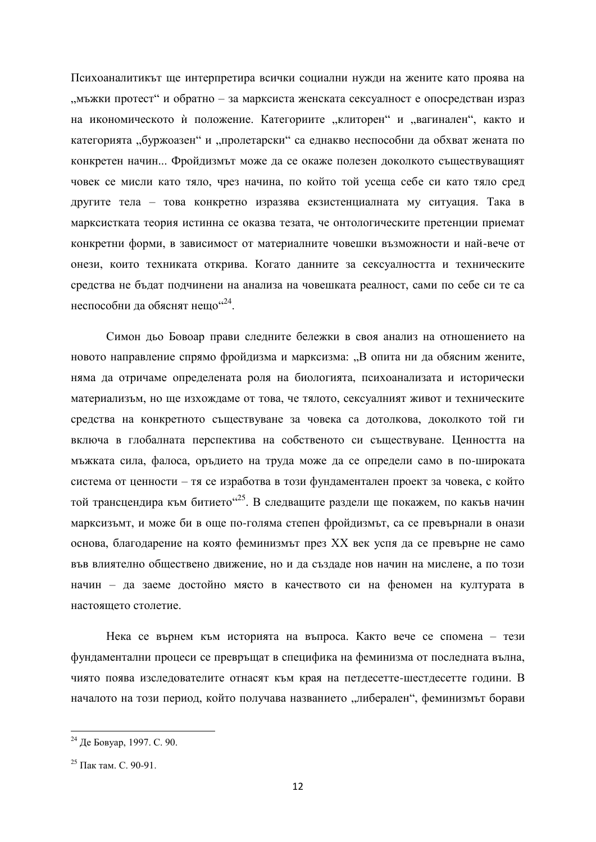Психоаналитикът ще интерпретира всички социални нужди на жените като проява на "мъжки протест" и обратно – за марксиста женската сексуалност е опосредстван израз на икономическото ѝ положение. Категориите "клиторен" и "вагинален", както и категорията "буржоазен" и "пролетарски" са еднакво неспособни да обхват жената по конкретен начин... Фройдизмът може да се окаже полезен доколкото съществуващият човек се мисли като тяло, чрез начина, по който той усеща себе си като тяло сред другите тела – това конкретно изразява екзистенциалната му ситуация. Така в марксистката теория истинна се оказва тезата, че онтологическите претенции приемат конкретни форми, в зависимост от материалните човешки възможности и най-вече от онези, които техниката открива. Когато данните за сексуалността и техническите средства не бъдат подчинени на анализа на човешката реалност, сами по себе си те са неспособни да обяснят нещо<sup>"24</sup>.

Симон дьо Бовоар прави следните бележки в своя анализ на отношението на новото направление спрямо фройдизма и марксизма: "В опита ни да обясним жените, няма да отричаме определената роля на биологията, психоанализата и исторически материализъм, но ще изхождаме от това, че тялото, сексуалният живот и техническите средства на конкретното съществуване за човека са дотолкова, доколкото той ги включа в глобалната перспектива на собственото си съществуване. Ценността на мъжката сила, фалоса, оръдието на труда може да се определи само в по-широката система от ценности – тя се изработва в този фундаментален проект за човека, с който той трансцендира към битието"<sup>25</sup>. В следващите раздели ще покажем, по какъв начин марксизъмт, и може би в още по-голяма степен фройдизмът, са се превърнали в онази основа, благодарение на която феминизмът през XX век успя да се превърне не само във влиятелно обществено движение, но и да създаде нов начин на мислене, а по този начин – да заеме достойно място в качеството си на феномен на културата в настоящето столетие.

Нека се върнем към историята на въпроса. Както вече се спомена – тези фундаментални процеси се превръщат в специфика на феминизма от последната вълна, чиято поява изследователите отнасят към края на петдесетте-шестдесетте години. В началото на този период, който получава названието "либерален", феминизмът борави

 $24$   $\mu$ e Gobyap, 1997. C. 90.

 $^{25}$  Пак там C 90-91.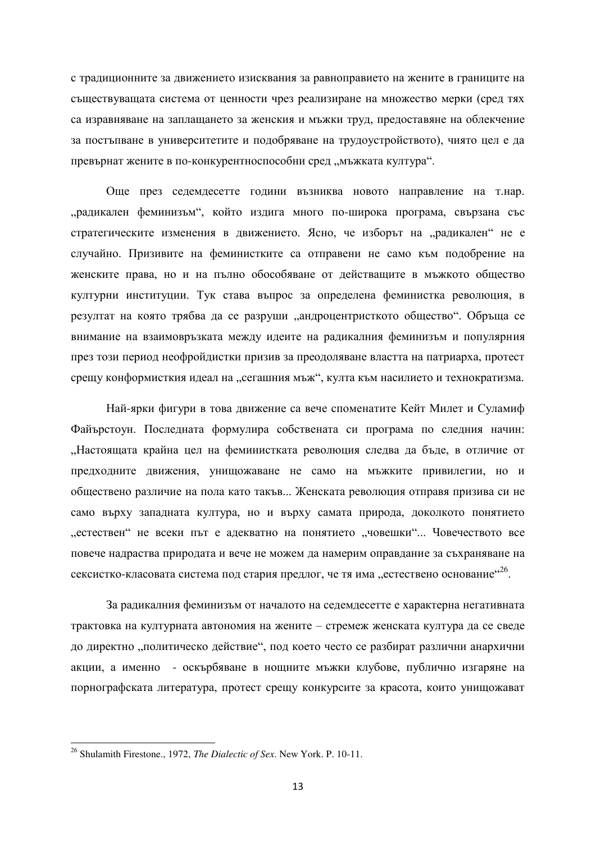с традиционните за движението изисквания за равноправието на жените в границите на съществуващата система от ценности чрез реализиране на множество мерки (сред тях са изравняване на заплащането за женския и мъжки труд, предоставяне на облекчение за постъпване в университетите и подобряване на трудоустройството), чиято цел е да превърнат жените в по-конкурентноспособни сред "мъжката култура".

Още през седемдесетте години възниква новото направление на т.нар. драдикален феминизъм", който издига много по-широка програма, свързана със стратегическите изменения в движението. Ясно, че изборът на "радикален" не е случайно. Призивите на феминистките са отправени не само към подобрение на женските права, но и на пълно обособяване от действащите в мъжкото общество културни институции. Тук става въпрос за определена феминистка революция, в резултат на която трябва да се разруши "андроцентристкото общество". Обръща се внимание на взаимовръзката между идеите на радикалния феминизъм и популярния през този период неофройдистки призив за преодоляване властта на патриарха, протест срещу конформисткия идеал на "сегашния мъж", култа към насилието и технократизма.

Най-ярки фигури в това движение са вече споменатите Кейт Милет и Суламиф Файърстоун. Последната формулира собствената си програма по следния начин: "Настоящата крайна цел на феминистката революция следва да бъде, в отличие от предходните движения, унищожаване не само на мъжките привилегии, но и обществено различие на пола като такъв... Женската революция отправя призива си не само върху западната култура, но и върху самата природа, доколкото понятието "естествен" не всеки път е адекватно на понятието "човешки"... Човечеството все повече налраства приролата и вече не можем ла намерим оправлание за съхраняване на сексистко-класовата система под стария предлог, че тя има "естествено основание"<sup>26</sup>.

За радикалния феминизъм от началото на седемдесетте е характерна негативната трактовка на културната автономия на жените – стремеж женската култура да се сведе до директно "политическо действие", под което често се разбират различни анархични акции, а именно - оскърбяване в нощните мъжки клубове, публично изгаряне на порнографската литература, протест срещу конкурсите за красота, които унищожават

<sup>26</sup> Shulamith Firestone., 1972, *The Dialectic of Sex*. New York. P. 10-11.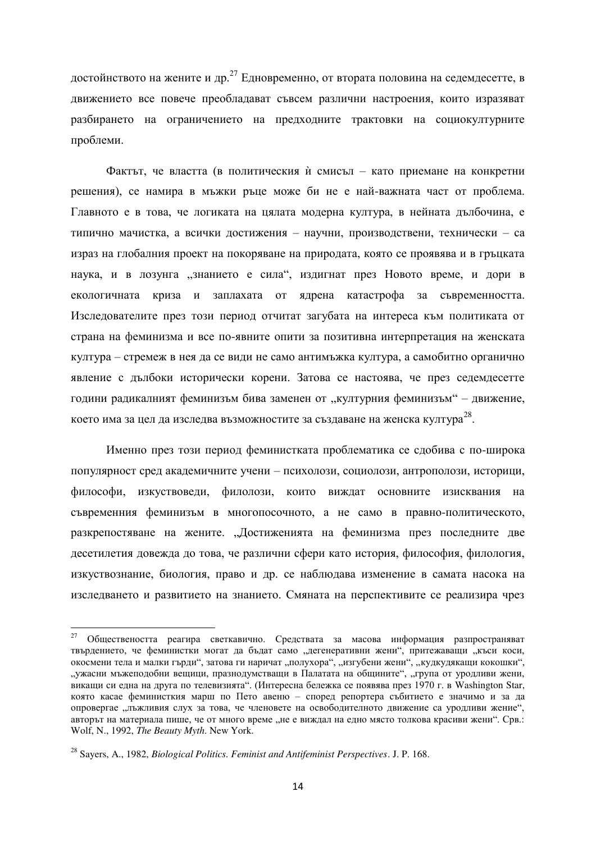достойнството на жените и др.<sup>27</sup> Едновременно, от втората половина на седемдесетте, в движението все повече преобладават съвсем различни настроения, които изразяват разбирането на ограничението на предходните трактовки на социокултурните проблеми.

Фактът, че властта (в политическия ѝ смисъл – като приемане на конкретни решения), се намира в мъжки ръце може би не е най-важната част от проблема. Главното е в това, че логиката на цялата модерна култура, в нейната дълбочина, е типично мачистка, а всички достижения - научни, производствени, технически - са израз на глобалния проект на покоряване на природата, която се проявява и в гръцката наука, и в лозунга "знанието е сила", издигнат през Новото време, и дори в екологичната криза и заплахата от ядрена катастрофа за съвременността. Изследователите през този период отчитат загубата на интереса към политиката от страна на феминизма и все по-явните опити за позитивна интерпретация на женската култура – стремеж в нея да се види не само антимъжка култура, а самобитно органично явление с дълбоки исторически корени. Затова се настоява, че през седемдесетте години радикалният феминизъм бива заменен от "културния феминизъм" – движение, което има за цел да изследва възможностите за създаване на женска култура $^{28}\!.$ 

Именно през този период феминистката проблематика се сдобива с по-широка популярност сред академичните учени – психолози, социолози, антрополози, историци, философи, изкуствовели, филолози, които вижлат основните изисквания на съвременния феминизъм в многопосочното, а не само в правно-политическото, разкрепостяване на жените. "Достиженията на феминизма през последните две десетилетия довежда до това, че различни сфери като история, философия, филология, изкуствознание, биология, право и др. се наблюдава изменение в самата насока на изследването и развитието на знанието. Смяната на перспективите се реализира чрез

 $27$  Обществеността реагира светкавично. Средствата за масова информация разпространяват твърдението, че феминистки могат да бъдат само "дегенеративни жени", притежаващи "къси коси, окосмени тела и малки гърди", затова ги наричат "полухора", "изгубени жени", "кудкудякащи кокошки", "ужасни мъжеподобни вещици, празнодумстващи в Палатата на общините", "група от уродливи жени, викащи си една на друга по телевизията". (Интересна бележка се появява през 1970 г. в Washington Star, която касае феминисткия марш по Пето авеню – според репортера събитието е значимо и за да опровергае "лъжливия слух за това, че членовете на освободителното движение са уродливи жение", авторът на материала пише, че от много време "не е виждал на едно място толкова красиви жени". Срв.: Wolf, N., 1992, *The Beauty Myth*. New York.

<sup>28</sup> Sayers, A., 1982, *Biological Politics. Feminist and Antifeminist Perspectives*. J. P. 168.